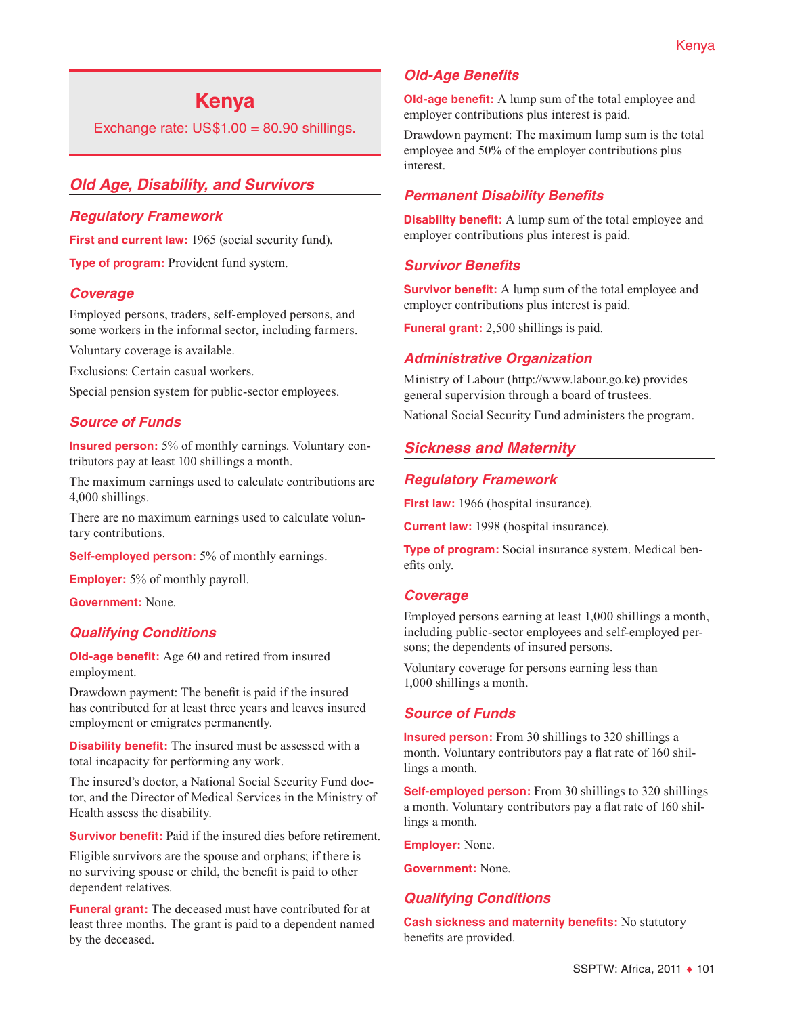# **Kenya**

Exchange rate:  $US$1.00 = 80.90$  shillings.

# *Old Age, Disability, and Survivors*

#### *Regulatory Framework*

First and current law: 1965 (social security fund).

**Type of program:** Provident fund system.

### *Coverage*

Employed persons, traders, self-employed persons, and some workers in the informal sector, including farmers.

Voluntary coverage is available.

Exclusions: Certain casual workers.

Special pension system for public-sector employees.

### *Source of Funds*

**Insured person:** 5% of monthly earnings. Voluntary contributors pay at least 100 shillings a month.

The maximum earnings used to calculate contributions are 4,000 shillings.

There are no maximum earnings used to calculate voluntary contributions.

**Self-employed person:** 5% of monthly earnings.

**Employer:** 5% of monthly payroll.

**Government:** None.

#### *Qualifying Conditions*

**Old-age benefit:** Age 60 and retired from insured employment.

Drawdown payment: The benefit is paid if the insured has contributed for at least three years and leaves insured employment or emigrates permanently.

**Disability benefit:** The insured must be assessed with a total incapacity for performing any work.

The insured's doctor, a National Social Security Fund doctor, and the Director of Medical Services in the Ministry of Health assess the disability.

**Survivor benefit:** Paid if the insured dies before retirement.

Eligible survivors are the spouse and orphans; if there is no surviving spouse or child, the benefit is paid to other dependent relatives.

**Funeral grant:** The deceased must have contributed for at least three months. The grant is paid to a dependent named by the deceased.

## *Old-Age Benefits*

**Old-age benefit:** A lump sum of the total employee and employer contributions plus interest is paid.

Drawdown payment: The maximum lump sum is the total employee and 50% of the employer contributions plus interest.

## *Permanent Disability Benefits*

**Disability benefit:** A lump sum of the total employee and employer contributions plus interest is paid.

### *Survivor Benefits*

**Survivor benefit:** A lump sum of the total employee and employer contributions plus interest is paid.

**Funeral grant:** 2,500 shillings is paid.

### *Administrative Organization*

Ministry of Labour [\(http://www.labour.go.ke](http://www.labour.go.ke)) provides general supervision through a board of trustees.

National Social Security Fund administers the program.

# *Sickness and Maternity*

#### *Regulatory Framework*

**First law:** 1966 (hospital insurance).

**Current law:** 1998 (hospital insurance).

**Type of program:** Social insurance system. Medical benefits only.

#### *Coverage*

Employed persons earning at least 1,000 shillings a month, including public-sector employees and self-employed persons; the dependents of insured persons.

Voluntary coverage for persons earning less than 1,000 shillings a month.

#### *Source of Funds*

**Insured person:** From 30 shillings to 320 shillings a month. Voluntary contributors pay a flat rate of 160 shillings a month.

**Self-employed person:** From 30 shillings to 320 shillings a month. Voluntary contributors pay a flat rate of 160 shillings a month.

**Employer:** None.

**Government:** None.

## *Qualifying Conditions*

**Cash sickness and maternity benefits:** No statutory benefits are provided.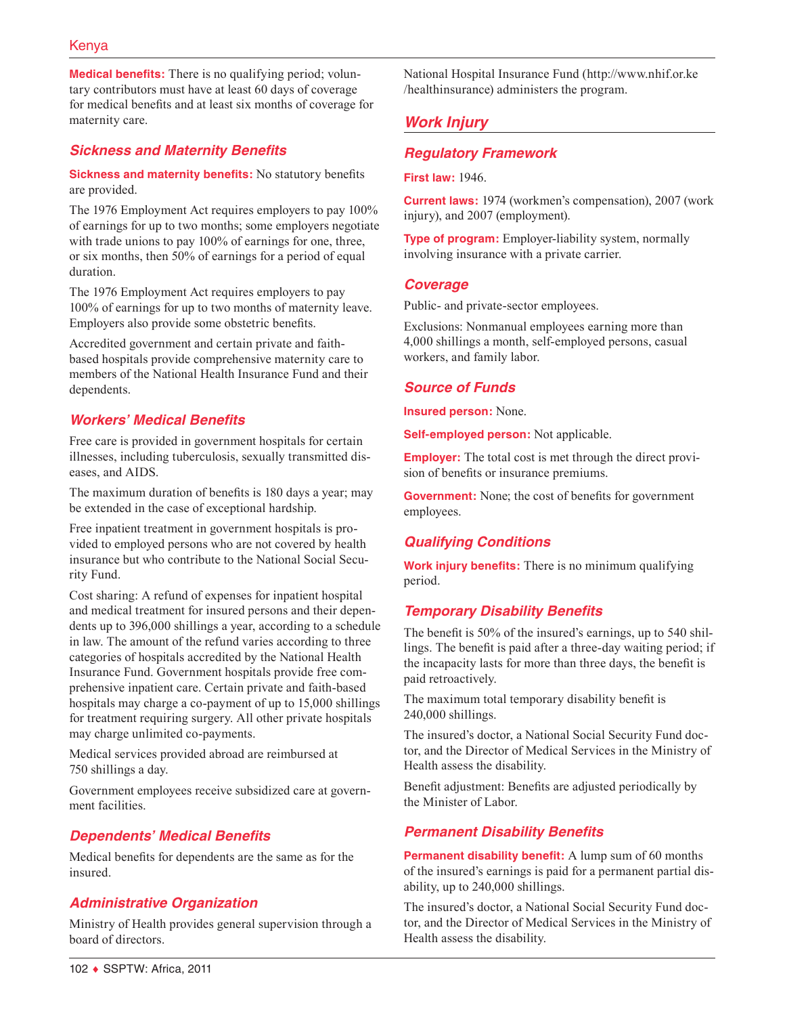**Medical benefits:** There is no qualifying period; voluntary contributors must have at least 60 days of coverage for medical benefits and at least six months of coverage for maternity care.

# *Sickness and Maternity Benefits*

**Sickness and maternity benefits:** No statutory benefits are provided.

The 1976 Employment Act requires employers to pay 100% of earnings for up to two months; some employers negotiate with trade unions to pay 100% of earnings for one, three, or six months, then 50% of earnings for a period of equal duration.

The 1976 Employment Act requires employers to pay 100% of earnings for up to two months of maternity leave. Employers also provide some obstetric benefits.

Accredited government and certain private and faithbased hospitals provide comprehensive maternity care to members of the National Health Insurance Fund and their dependents.

### *Workers' Medical Benefits*

Free care is provided in government hospitals for certain illnesses, including tuberculosis, sexually transmitted diseases, and AIDS.

The maximum duration of benefits is 180 days a year; may be extended in the case of exceptional hardship.

Free inpatient treatment in government hospitals is provided to employed persons who are not covered by health insurance but who contribute to the National Social Security Fund.

Cost sharing: A refund of expenses for inpatient hospital and medical treatment for insured persons and their dependents up to 396,000 shillings a year, according to a schedule in law. The amount of the refund varies according to three categories of hospitals accredited by the National Health Insurance Fund. Government hospitals provide free comprehensive inpatient care. Certain private and faith-based hospitals may charge a co-payment of up to 15,000 shillings for treatment requiring surgery. All other private hospitals may charge unlimited co-payments.

Medical services provided abroad are reimbursed at 750 shillings a day.

Government employees receive subsidized care at government facilities.

#### *Dependents' Medical Benefits*

Medical benefits for dependents are the same as for the insured.

## *Administrative Organization*

Ministry of Health provides general supervision through a board of directors.

National Hospital Insurance Fund ([http://www.nhif.or.ke](http://www.nhif.or.ke/healthinsurance) [/healthinsurance\)](http://www.nhif.or.ke/healthinsurance) administers the program.

# *Work Injury*

## *Regulatory Framework*

**First law:** 1946.

**Current laws:** 1974 (workmen's compensation), 2007 (work injury), and 2007 (employment).

**Type of program:** Employer-liability system, normally involving insurance with a private carrier.

#### *Coverage*

Public- and private-sector employees.

Exclusions: Nonmanual employees earning more than 4,000 shillings a month, self-employed persons, casual workers, and family labor.

### *Source of Funds*

**Insured person:** None.

**Self-employed person:** Not applicable.

**Employer:** The total cost is met through the direct provision of benefits or insurance premiums.

**Government:** None; the cost of benefits for government employees.

## *Qualifying Conditions*

**Work injury benefits:** There is no minimum qualifying period.

## *Temporary Disability Benefits*

The benefit is 50% of the insured's earnings, up to 540 shillings. The benefit is paid after a three-day waiting period; if the incapacity lasts for more than three days, the benefit is paid retroactively.

The maximum total temporary disability benefit is 240,000 shillings.

The insured's doctor, a National Social Security Fund doctor, and the Director of Medical Services in the Ministry of Health assess the disability.

Benefit adjustment: Benefits are adjusted periodically by the Minister of Labor.

## *Permanent Disability Benefits*

**Permanent disability benefit:** A lump sum of 60 months of the insured's earnings is paid for a permanent partial disability, up to 240,000 shillings.

The insured's doctor, a National Social Security Fund doctor, and the Director of Medical Services in the Ministry of Health assess the disability.